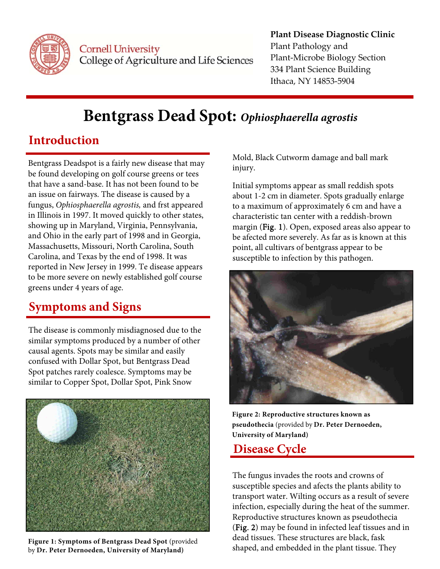

Cornell University College of Agriculture and Life Sciences

#### Plant‐Microbe Biology Section **Plant Disease Diagnostic Clinic** Plant Pathology and 334 Plant Science Building Ithaca, NY 14853‐5904

# **Bentgrass Dead Spot:** *Ophiosphaerella agrostis*

## **Introduction**

Bentgrass Deadspot is a fairly new disease that may be found developing on golf course greens or tees that have a sand-base. It has not been found to be an issue on fairways. The disease is caused by a fungus, *Ophiosphaerella agrostis,* and frst appeared in Illinois in 1997. It moved quickly to other states, showing up in Maryland, Virginia, Pennsylvania, and Ohio in the early part of 1998 and in Georgia, Massachusetts, Missouri, North Carolina, South Carolina, and Texas by the end of 1998. It was reported in New Jersey in 1999. Te disease appears to be more severe on newly established golf course greens under 4 years of age.

## **Symptoms and Signs**

The disease is commonly misdiagnosed due to the similar symptoms produced by a number of other causal agents. Spots may be similar and easily confused with Dollar Spot, but Bentgrass Dead Spot patches rarely coalesce. Symptoms may be similar to Copper Spot, Dollar Spot, Pink Snow



**Figure 1: Symptoms of Bentgrass Dead Spot** (provided by **Dr. Peter Dernoeden, University of Maryland)** 

Mold, Black Cutworm damage and ball mark injury.

Initial symptoms appear as small reddish spots about 1-2 cm in diameter. Spots gradually enlarge to a maximum of approximately 6 cm and have a characteristic tan center with a reddish-brown margin (Fig. 1). Open, exposed areas also appear to be afected more severely. As far as is known at this point, all cultivars of bentgrass appear to be susceptible to infection by this pathogen.



**Figure 2: Reproductive structures known as pseudothecia** (provided by **Dr. Peter Dernoeden, University of Maryland)** 

### **Disease Cycle**

 shaped, and embedded in the plant tissue. They The fungus invades the roots and crowns of susceptible species and afects the plants ability to transport water. Wilting occurs as a result of severe infection, especially during the heat of the summer. Reproductive structures known as pseudothecia (Fig. 2) may be found in infected leaf tissues and in dead tissues. These structures are black, fask